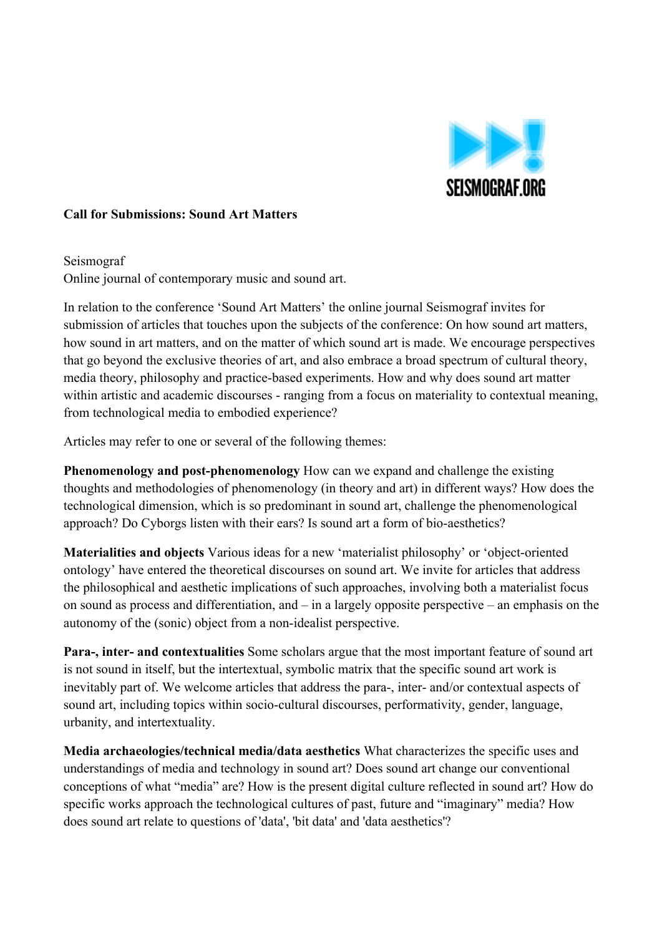

### **Call for Submissions: Sound Art Matters**

Seismograf Online journal of contemporary music and sound art.

In relation to the conference 'Sound Art Matters' the online journal Seismograf invites for submission of articles that touches upon the subjects of the conference: On how sound art matters, how sound in art matters, and on the matter of which sound art is made. We encourage perspectives that go beyond the exclusive theories of art, and also embrace a broad spectrum of cultural theory, media theory, philosophy and practice-based experiments. How and why does sound art matter within artistic and academic discourses - ranging from a focus on materiality to contextual meaning, from technological media to embodied experience?

Articles may refer to one or several of the following themes:

**Phenomenology and post-phenomenology** How can we expand and challenge the existing thoughts and methodologies of phenomenology (in theory and art) in different ways? How does the technological dimension, which is so predominant in sound art, challenge the phenomenological approach? Do Cyborgs listen with their ears? Is sound art a form of bio-aesthetics?

**Materialities and objects** Various ideas for a new 'materialist philosophy' or 'object-oriented ontology' have entered the theoretical discourses on sound art. We invite for articles that address the philosophical and aesthetic implications of such approaches, involving both a materialist focus on sound as process and differentiation, and – in a largely opposite perspective – an emphasis on the autonomy of the (sonic) object from a non-idealist perspective.

**Para-, inter- and contextualities** Some scholars argue that the most important feature of sound art is not sound in itself, but the intertextual, symbolic matrix that the specific sound art work is inevitably part of. We welcome articles that address the para-, inter- and/or contextual aspects of sound art, including topics within socio-cultural discourses, performativity, gender, language, urbanity, and intertextuality.

**Media archaeologies/technical media/data aesthetics** What characterizes the specific uses and understandings of media and technology in sound art? Does sound art change our conventional conceptions of what "media" are? How is the present digital culture reflected in sound art? How do specific works approach the technological cultures of past, future and "imaginary" media? How does sound art relate to questions of 'data', 'bit data' and 'data aesthetics'?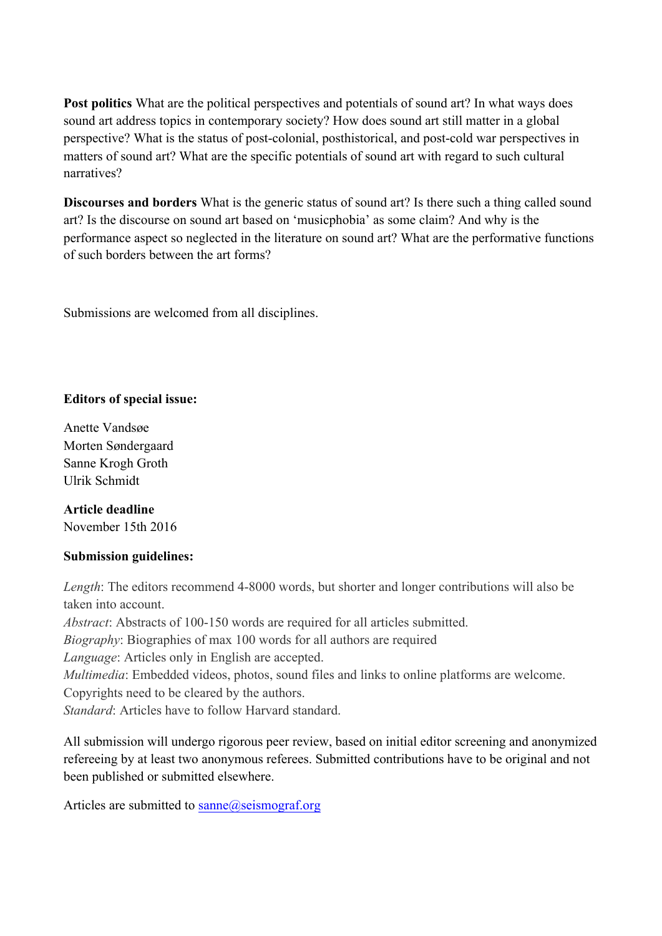**Post politics** What are the political perspectives and potentials of sound art? In what ways does sound art address topics in contemporary society? How does sound art still matter in a global perspective? What is the status of post-colonial, posthistorical, and post-cold war perspectives in matters of sound art? What are the specific potentials of sound art with regard to such cultural narratives?

**Discourses and borders** What is the generic status of sound art? Is there such a thing called sound art? Is the discourse on sound art based on 'musicphobia' as some claim? And why is the performance aspect so neglected in the literature on sound art? What are the performative functions of such borders between the art forms?

Submissions are welcomed from all disciplines.

## **Editors of special issue:**

Anette Vandsøe Morten Søndergaard Sanne Krogh Groth Ulrik Schmidt

# **Article deadline**

November 15th 2016

### **Submission guidelines:**

*Length*: The editors recommend 4-8000 words, but shorter and longer contributions will also be taken into account. *Abstract*: Abstracts of 100-150 words are required for all articles submitted. *Biography*: Biographies of max 100 words for all authors are required *Language*: Articles only in English are accepted. *Multimedia*: Embedded videos, photos, sound files and links to online platforms are welcome. Copyrights need to be cleared by the authors. *Standard*: Articles have to follow Harvard standard.

All submission will undergo rigorous peer review, based on initial editor screening and anonymized refereeing by at least two anonymous referees. Submitted contributions have to be original and not been published or submitted elsewhere.

Articles are submitted to  $\text{same}(\text{a})$  seismograf.org